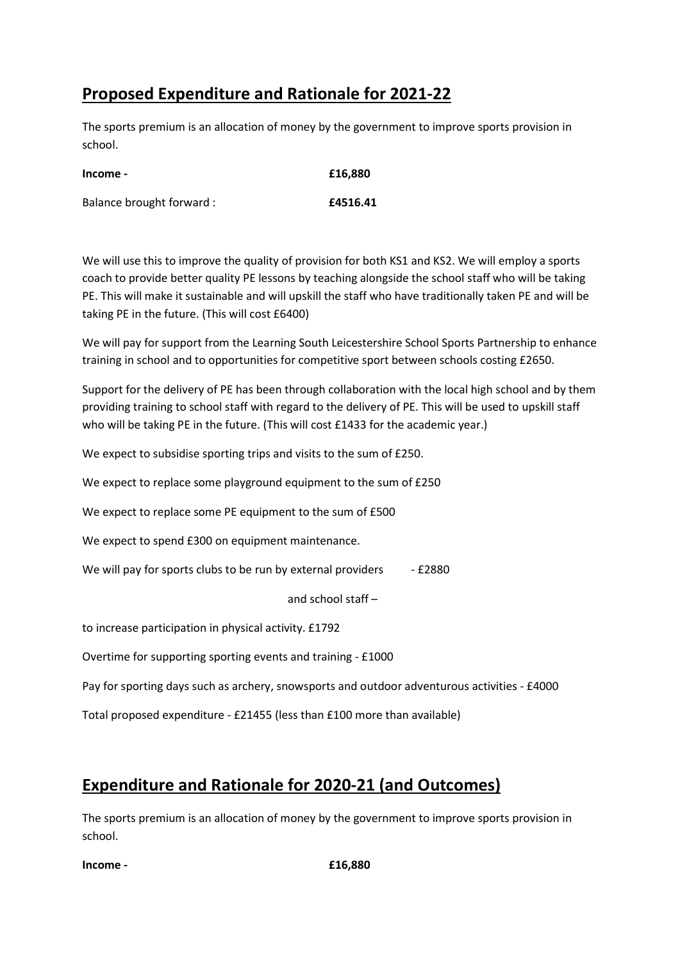# Proposed Expenditure and Rationale for 2021-22

The sports premium is an allocation of money by the government to improve sports provision in school.

| Income -                  | £16,880  |
|---------------------------|----------|
| Balance brought forward : | £4516.41 |

We will use this to improve the quality of provision for both KS1 and KS2. We will employ a sports coach to provide better quality PE lessons by teaching alongside the school staff who will be taking PE. This will make it sustainable and will upskill the staff who have traditionally taken PE and will be taking PE in the future. (This will cost £6400)

We will pay for support from the Learning South Leicestershire School Sports Partnership to enhance training in school and to opportunities for competitive sport between schools costing £2650.

Support for the delivery of PE has been through collaboration with the local high school and by them providing training to school staff with regard to the delivery of PE. This will be used to upskill staff who will be taking PE in the future. (This will cost £1433 for the academic year.)

We expect to subsidise sporting trips and visits to the sum of £250.

We expect to replace some playground equipment to the sum of £250

We expect to replace some PE equipment to the sum of £500

We expect to spend £300 on equipment maintenance.

We will pay for sports clubs to be run by external providers - £2880

and school staff –

to increase participation in physical activity. £1792

Overtime for supporting sporting events and training - £1000

Pay for sporting days such as archery, snowsports and outdoor adventurous activities - £4000

Total proposed expenditure - £21455 (less than £100 more than available)

# Expenditure and Rationale for 2020-21 (and Outcomes)

The sports premium is an allocation of money by the government to improve sports provision in school.

 $$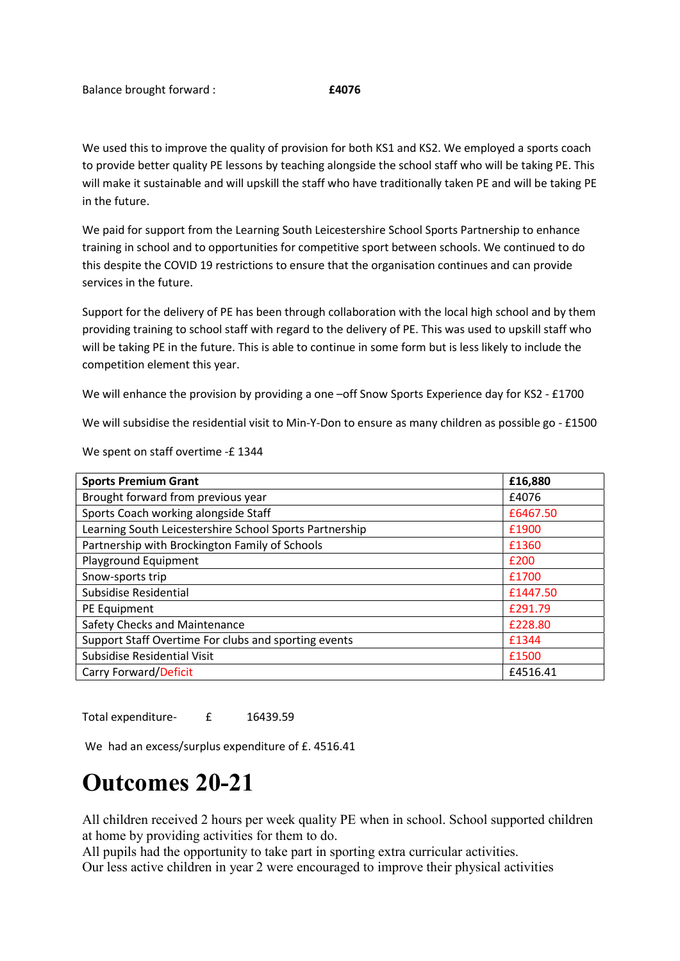We used this to improve the quality of provision for both KS1 and KS2. We employed a sports coach to provide better quality PE lessons by teaching alongside the school staff who will be taking PE. This will make it sustainable and will upskill the staff who have traditionally taken PE and will be taking PE in the future.

We paid for support from the Learning South Leicestershire School Sports Partnership to enhance training in school and to opportunities for competitive sport between schools. We continued to do this despite the COVID 19 restrictions to ensure that the organisation continues and can provide services in the future.

Support for the delivery of PE has been through collaboration with the local high school and by them providing training to school staff with regard to the delivery of PE. This was used to upskill staff who will be taking PE in the future. This is able to continue in some form but is less likely to include the competition element this year.

We will enhance the provision by providing a one –off Snow Sports Experience day for KS2 - £1700

We will subsidise the residential visit to Min-Y-Don to ensure as many children as possible go - £1500

| <b>Sports Premium Grant</b>                             | £16,880  |
|---------------------------------------------------------|----------|
| Brought forward from previous year                      | £4076    |
| Sports Coach working alongside Staff                    | £6467.50 |
| Learning South Leicestershire School Sports Partnership | £1900    |
| Partnership with Brockington Family of Schools          | £1360    |
| Playground Equipment                                    | £200     |
| Snow-sports trip                                        | £1700    |
| Subsidise Residential                                   | £1447.50 |
| PE Equipment                                            | £291.79  |
| Safety Checks and Maintenance                           | £228.80  |
| Support Staff Overtime For clubs and sporting events    | £1344    |
| Subsidise Residential Visit                             | £1500    |
| Carry Forward/Deficit                                   | £4516.41 |

We spent on staff overtime -£ 1344

Total expenditure- £ 16439.59

We had an excess/surplus expenditure of £.4516.41

# Outcomes 20-21

All children received 2 hours per week quality PE when in school. School supported children at home by providing activities for them to do.

All pupils had the opportunity to take part in sporting extra curricular activities.

Our less active children in year 2 were encouraged to improve their physical activities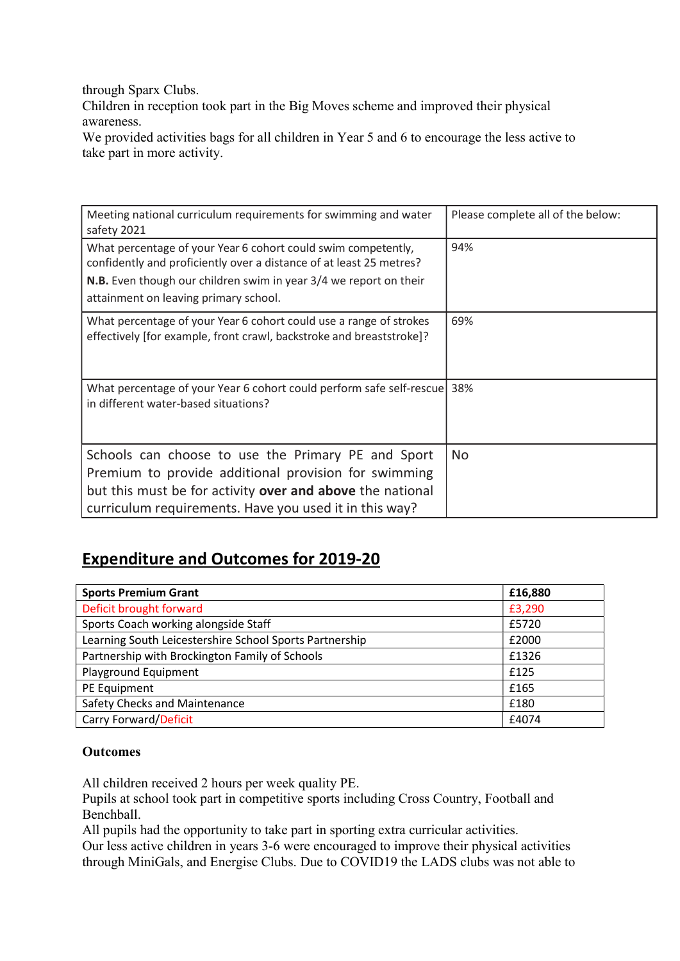through Sparx Clubs.

Children in reception took part in the Big Moves scheme and improved their physical awareness.

We provided activities bags for all children in Year 5 and 6 to encourage the less active to take part in more activity.

| Meeting national curriculum requirements for swimming and water<br>safety 2021                                                                                                                                                                     | Please complete all of the below: |
|----------------------------------------------------------------------------------------------------------------------------------------------------------------------------------------------------------------------------------------------------|-----------------------------------|
| What percentage of your Year 6 cohort could swim competently,<br>confidently and proficiently over a distance of at least 25 metres?<br>N.B. Even though our children swim in year 3/4 we report on their<br>attainment on leaving primary school. | 94%                               |
| What percentage of your Year 6 cohort could use a range of strokes<br>effectively [for example, front crawl, backstroke and breaststroke]?                                                                                                         | 69%                               |
| What percentage of your Year 6 cohort could perform safe self-rescue 38%<br>in different water-based situations?                                                                                                                                   |                                   |
| Schools can choose to use the Primary PE and Sport<br>Premium to provide additional provision for swimming<br>but this must be for activity over and above the national<br>curriculum requirements. Have you used it in this way?                  | No.                               |

# Expenditure and Outcomes for 2019-20

| <b>Sports Premium Grant</b>                             | £16,880 |
|---------------------------------------------------------|---------|
| Deficit brought forward                                 | £3,290  |
| Sports Coach working alongside Staff                    | £5720   |
| Learning South Leicestershire School Sports Partnership | £2000   |
| Partnership with Brockington Family of Schools          | £1326   |
| Playground Equipment                                    | £125    |
| PE Equipment                                            | £165    |
| Safety Checks and Maintenance                           | £180    |
| Carry Forward/Deficit                                   | £4074   |

## **Outcomes**

All children received 2 hours per week quality PE.

Pupils at school took part in competitive sports including Cross Country, Football and Benchball.

All pupils had the opportunity to take part in sporting extra curricular activities.

Our less active children in years 3-6 were encouraged to improve their physical activities through MiniGals, and Energise Clubs. Due to COVID19 the LADS clubs was not able to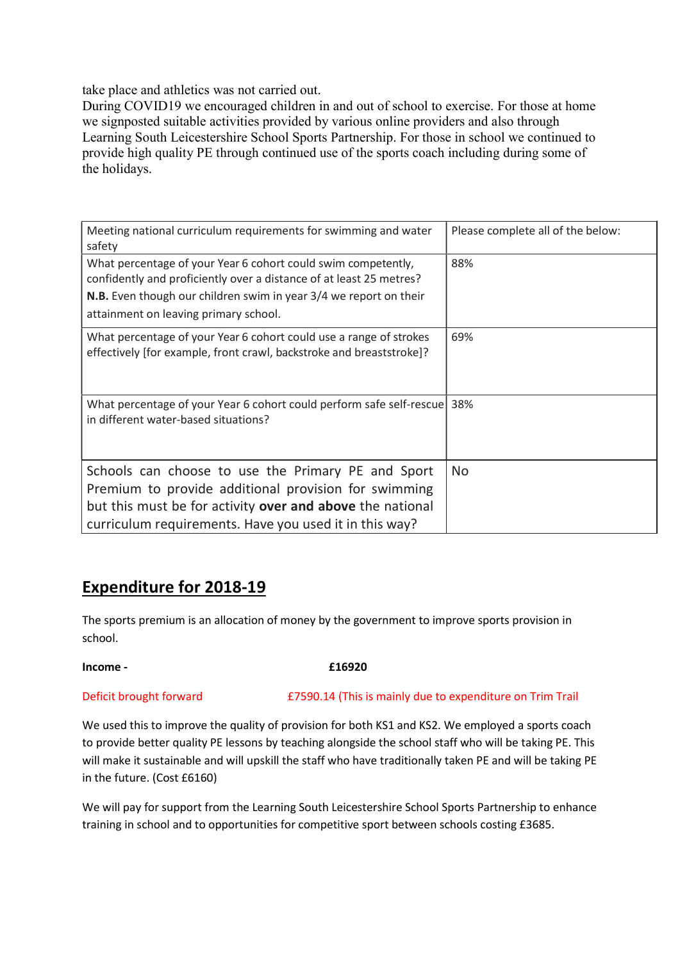take place and athletics was not carried out.

During COVID19 we encouraged children in and out of school to exercise. For those at home we signposted suitable activities provided by various online providers and also through Learning South Leicestershire School Sports Partnership. For those in school we continued to provide high quality PE through continued use of the sports coach including during some of the holidays.

| Meeting national curriculum requirements for swimming and water<br>safety                                                                  | Please complete all of the below: |
|--------------------------------------------------------------------------------------------------------------------------------------------|-----------------------------------|
| What percentage of your Year 6 cohort could swim competently,<br>confidently and proficiently over a distance of at least 25 metres?       | 88%                               |
| N.B. Even though our children swim in year 3/4 we report on their                                                                          |                                   |
| attainment on leaving primary school.                                                                                                      |                                   |
| What percentage of your Year 6 cohort could use a range of strokes<br>effectively [for example, front crawl, backstroke and breaststroke]? | 69%                               |
| What percentage of your Year 6 cohort could perform safe self-rescue<br>in different water-based situations?                               | 38%                               |
| Schools can choose to use the Primary PE and Sport<br>Premium to provide additional provision for swimming                                 | No.                               |
| but this must be for activity over and above the national<br>curriculum requirements. Have you used it in this way?                        |                                   |

## Expenditure for 2018-19

The sports premium is an allocation of money by the government to improve sports provision in school.

## $$

Deficit brought forward £7590.14 (This is mainly due to expenditure on Trim Trail

We used this to improve the quality of provision for both KS1 and KS2. We employed a sports coach to provide better quality PE lessons by teaching alongside the school staff who will be taking PE. This will make it sustainable and will upskill the staff who have traditionally taken PE and will be taking PE in the future. (Cost £6160)

We will pay for support from the Learning South Leicestershire School Sports Partnership to enhance training in school and to opportunities for competitive sport between schools costing £3685.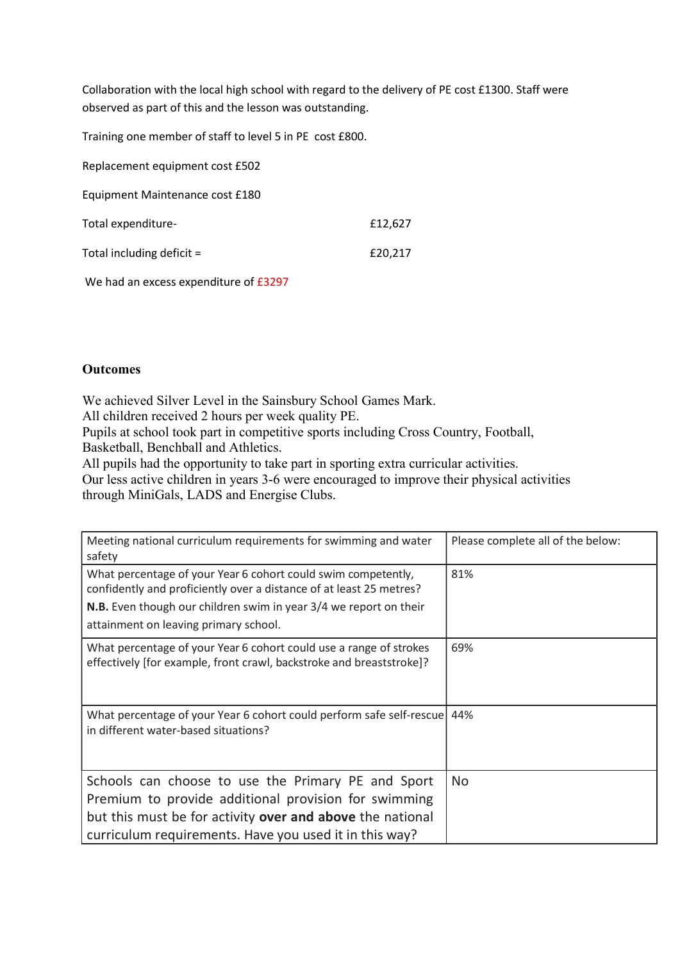Collaboration with the local high school with regard to the delivery of PE cost £1300. Staff were observed as part of this and the lesson was outstanding.

Training one member of staff to level 5 in PE cost £800.

| Replacement equipment cost £502 |         |
|---------------------------------|---------|
| Equipment Maintenance cost £180 |         |
| Total expenditure-              | £12,627 |
| Total including deficit =       | £20,217 |
|                                 |         |

We had an excess expenditure of £3297

## **Outcomes**

We achieved Silver Level in the Sainsbury School Games Mark.

All children received 2 hours per week quality PE.

Pupils at school took part in competitive sports including Cross Country, Football, Basketball, Benchball and Athletics.

All pupils had the opportunity to take part in sporting extra curricular activities.

Our less active children in years 3-6 were encouraged to improve their physical activities through MiniGals, LADS and Energise Clubs.

| Meeting national curriculum requirements for swimming and water<br>safety                                                                                                                                                                          | Please complete all of the below: |
|----------------------------------------------------------------------------------------------------------------------------------------------------------------------------------------------------------------------------------------------------|-----------------------------------|
| What percentage of your Year 6 cohort could swim competently,<br>confidently and proficiently over a distance of at least 25 metres?<br>N.B. Even though our children swim in year 3/4 we report on their<br>attainment on leaving primary school. | 81%                               |
| What percentage of your Year 6 cohort could use a range of strokes<br>effectively [for example, front crawl, backstroke and breaststroke]?                                                                                                         | 69%                               |
| What percentage of your Year 6 cohort could perform safe self-rescue 44%<br>in different water-based situations?                                                                                                                                   |                                   |
| Schools can choose to use the Primary PE and Sport<br>Premium to provide additional provision for swimming<br>but this must be for activity over and above the national<br>curriculum requirements. Have you used it in this way?                  | <b>No</b>                         |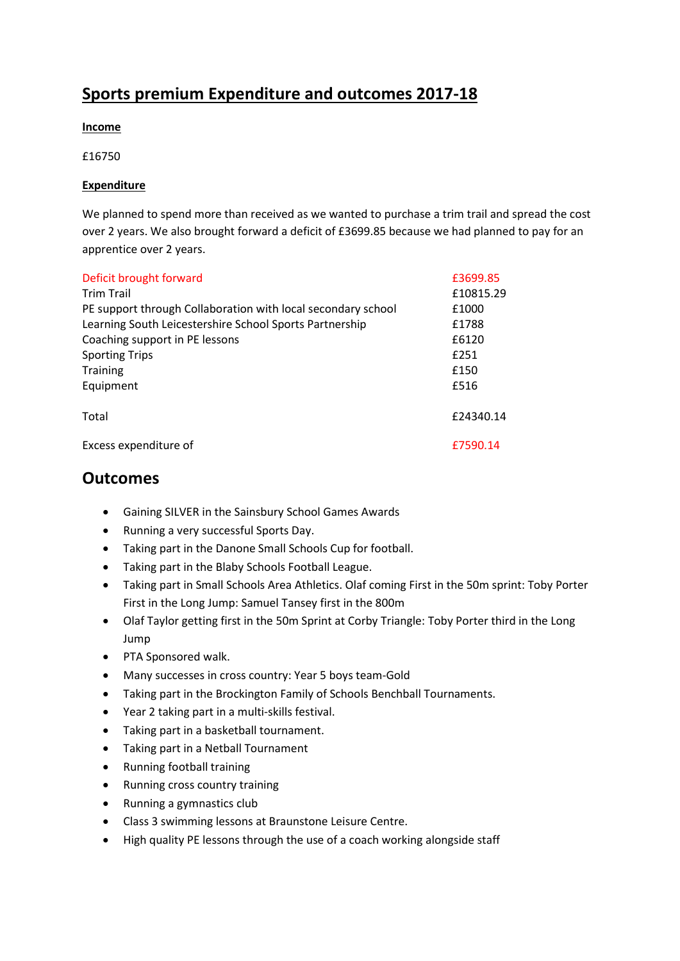# Sports premium Expenditure and outcomes 2017-18

### Income

£16750

### Expenditure

We planned to spend more than received as we wanted to purchase a trim trail and spread the cost over 2 years. We also brought forward a deficit of £3699.85 because we had planned to pay for an apprentice over 2 years.

| Deficit brought forward                                      | £3699.85  |
|--------------------------------------------------------------|-----------|
| <b>Trim Trail</b>                                            | £10815.29 |
| PE support through Collaboration with local secondary school | £1000     |
| Learning South Leicestershire School Sports Partnership      | £1788     |
| Coaching support in PE lessons                               | £6120     |
| <b>Sporting Trips</b>                                        | £251      |
| <b>Training</b>                                              | £150      |
| Equipment                                                    | £516      |
| Total                                                        | £24340.14 |
| Excess expenditure of                                        | £7590.14  |

## **Outcomes**

- Gaining SILVER in the Sainsbury School Games Awards
- Running a very successful Sports Day.
- Taking part in the Danone Small Schools Cup for football.
- Taking part in the Blaby Schools Football League.
- Taking part in Small Schools Area Athletics. Olaf coming First in the 50m sprint: Toby Porter First in the Long Jump: Samuel Tansey first in the 800m
- Olaf Taylor getting first in the 50m Sprint at Corby Triangle: Toby Porter third in the Long Jump
- PTA Sponsored walk.
- Many successes in cross country: Year 5 boys team-Gold
- Taking part in the Brockington Family of Schools Benchball Tournaments.
- Year 2 taking part in a multi-skills festival.
- Taking part in a basketball tournament.
- Taking part in a Netball Tournament
- Running football training
- Running cross country training
- Running a gymnastics club
- Class 3 swimming lessons at Braunstone Leisure Centre.
- High quality PE lessons through the use of a coach working alongside staff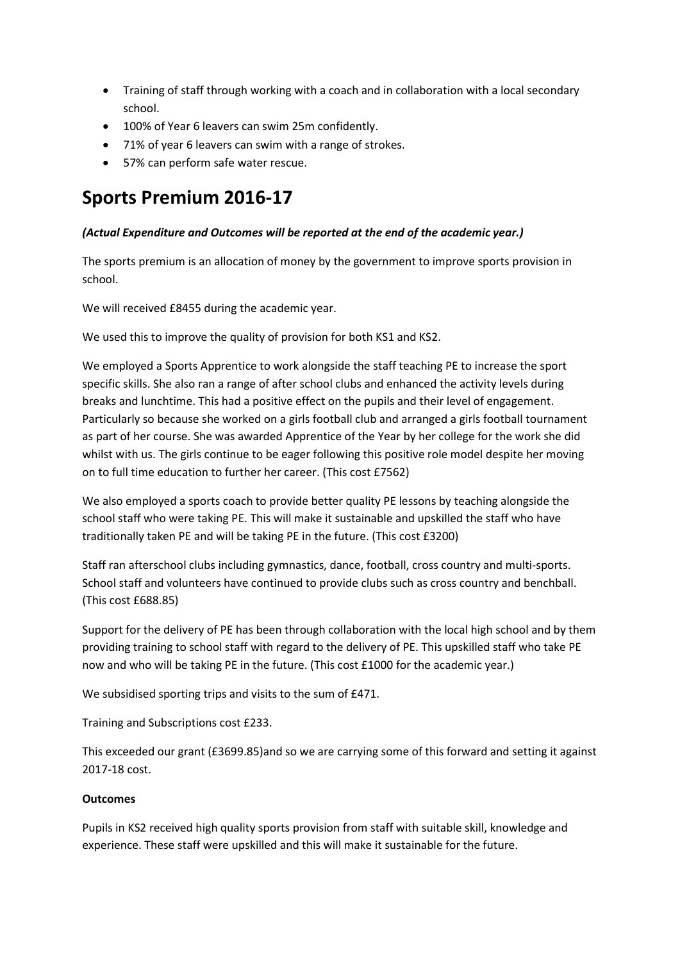- Training of staff through working with a coach and in collaboration with a local secondary school.
- 100% of Year 6 leavers can swim 25m confidently.
- 71% of year 6 leavers can swim with a range of strokes.
- 57% can perform safe water rescue.

# Sports Premium 2016-17

## (Actual Expenditure and Outcomes will be reported at the end of the academic year.)

The sports premium is an allocation of money by the government to improve sports provision in school.

We will received £8455 during the academic year.

We used this to improve the quality of provision for both KS1 and KS2.

We employed a Sports Apprentice to work alongside the staff teaching PE to increase the sport specific skills. She also ran a range of after school clubs and enhanced the activity levels during breaks and lunchtime. This had a positive effect on the pupils and their level of engagement. Particularly so because she worked on a girls football club and arranged a girls football tournament as part of her course. She was awarded Apprentice of the Year by her college for the work she did whilst with us. The girls continue to be eager following this positive role model despite her moving on to full time education to further her career. (This cost £7562)

We also employed a sports coach to provide better quality PE lessons by teaching alongside the school staff who were taking PE. This will make it sustainable and upskilled the staff who have traditionally taken PE and will be taking PE in the future. (This cost £3200)

Staff ran afterschool clubs including gymnastics, dance, football, cross country and multi-sports. School staff and volunteers have continued to provide clubs such as cross country and benchball. (This cost £688.85)

Support for the delivery of PE has been through collaboration with the local high school and by them providing training to school staff with regard to the delivery of PE. This upskilled staff who take PE now and who will be taking PE in the future. (This cost £1000 for the academic year.)

We subsidised sporting trips and visits to the sum of £471.

Training and Subscriptions cost £233.

This exceeded our grant (£3699.85)and so we are carrying some of this forward and setting it against 2017-18 cost.

## **Outcomes**

Pupils in KS2 received high quality sports provision from staff with suitable skill, knowledge and experience. These staff were upskilled and this will make it sustainable for the future.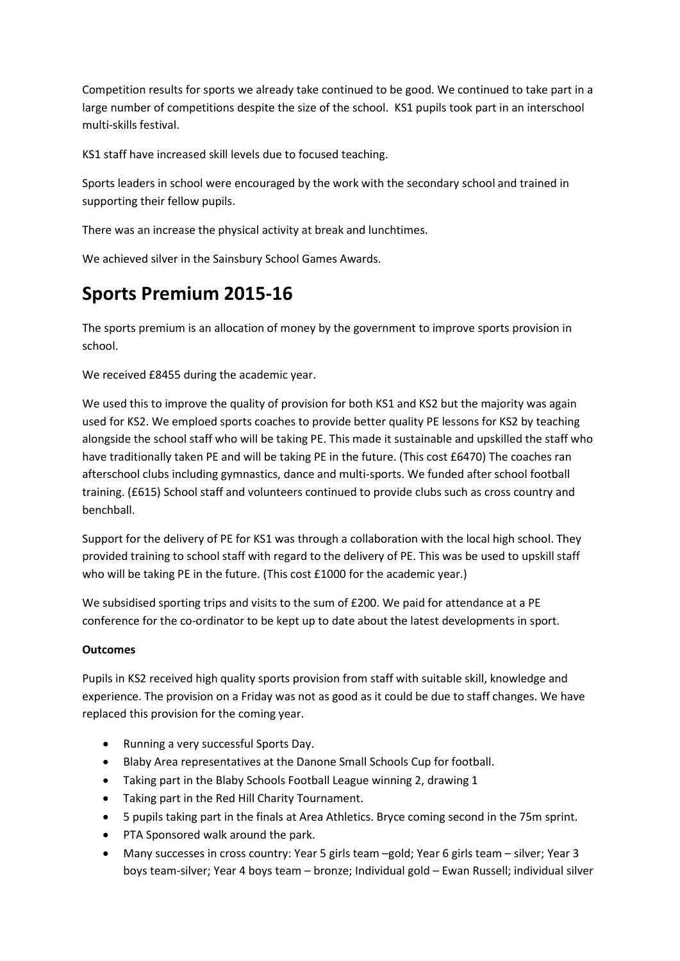Competition results for sports we already take continued to be good. We continued to take part in a large number of competitions despite the size of the school. KS1 pupils took part in an interschool multi-skills festival.

KS1 staff have increased skill levels due to focused teaching.

Sports leaders in school were encouraged by the work with the secondary school and trained in supporting their fellow pupils.

There was an increase the physical activity at break and lunchtimes.

We achieved silver in the Sainsbury School Games Awards.

# Sports Premium 2015-16

The sports premium is an allocation of money by the government to improve sports provision in school.

We received £8455 during the academic year.

We used this to improve the quality of provision for both KS1 and KS2 but the majority was again used for KS2. We emploed sports coaches to provide better quality PE lessons for KS2 by teaching alongside the school staff who will be taking PE. This made it sustainable and upskilled the staff who have traditionally taken PE and will be taking PE in the future. (This cost £6470) The coaches ran afterschool clubs including gymnastics, dance and multi-sports. We funded after school football training. (£615) School staff and volunteers continued to provide clubs such as cross country and benchball.

Support for the delivery of PE for KS1 was through a collaboration with the local high school. They provided training to school staff with regard to the delivery of PE. This was be used to upskill staff who will be taking PE in the future. (This cost £1000 for the academic year.)

We subsidised sporting trips and visits to the sum of £200. We paid for attendance at a PE conference for the co-ordinator to be kept up to date about the latest developments in sport.

## **Outcomes**

Pupils in KS2 received high quality sports provision from staff with suitable skill, knowledge and experience. The provision on a Friday was not as good as it could be due to staff changes. We have replaced this provision for the coming year.

- Running a very successful Sports Day.
- Blaby Area representatives at the Danone Small Schools Cup for football.
- Taking part in the Blaby Schools Football League winning 2, drawing 1
- Taking part in the Red Hill Charity Tournament.
- 5 pupils taking part in the finals at Area Athletics. Bryce coming second in the 75m sprint.
- PTA Sponsored walk around the park.
- Many successes in cross country: Year 5 girls team –gold; Year 6 girls team silver; Year 3 boys team-silver; Year 4 boys team – bronze; Individual gold – Ewan Russell; individual silver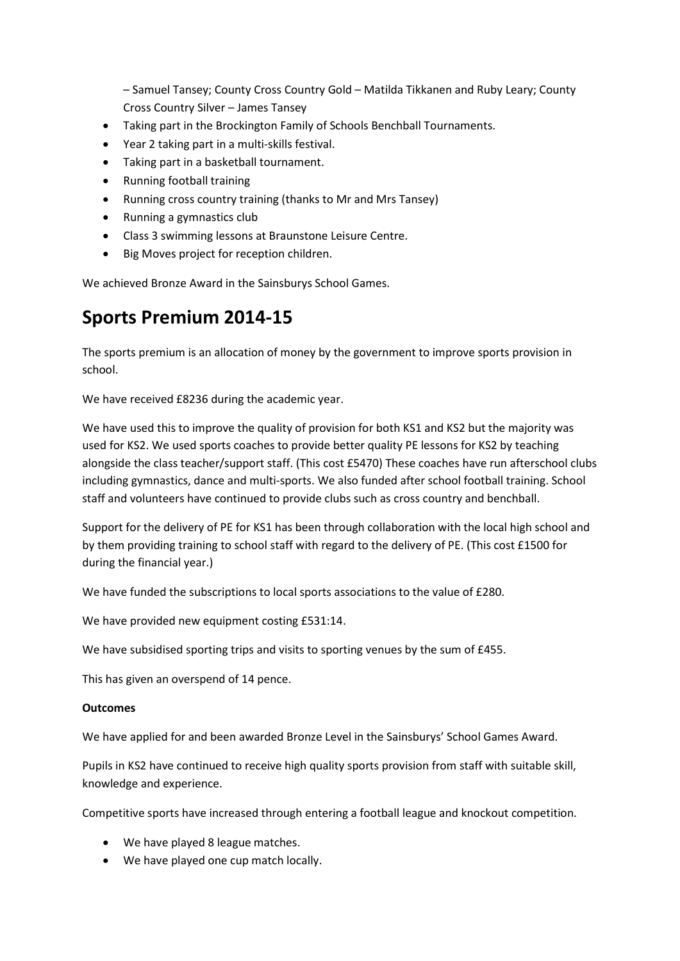– Samuel Tansey; County Cross Country Gold – Matilda Tikkanen and Ruby Leary; County Cross Country Silver – James Tansey

- Taking part in the Brockington Family of Schools Benchball Tournaments.
- Year 2 taking part in a multi-skills festival.
- Taking part in a basketball tournament.
- Running football training
- Running cross country training (thanks to Mr and Mrs Tansey)
- Running a gymnastics club
- Class 3 swimming lessons at Braunstone Leisure Centre.
- Big Moves project for reception children.

We achieved Bronze Award in the Sainsburys School Games.

# Sports Premium 2014-15

The sports premium is an allocation of money by the government to improve sports provision in school.

We have received £8236 during the academic year.

We have used this to improve the quality of provision for both KS1 and KS2 but the majority was used for KS2. We used sports coaches to provide better quality PE lessons for KS2 by teaching alongside the class teacher/support staff. (This cost £5470) These coaches have run afterschool clubs including gymnastics, dance and multi-sports. We also funded after school football training. School staff and volunteers have continued to provide clubs such as cross country and benchball.

Support for the delivery of PE for KS1 has been through collaboration with the local high school and by them providing training to school staff with regard to the delivery of PE. (This cost £1500 for during the financial year.)

We have funded the subscriptions to local sports associations to the value of £280.

We have provided new equipment costing £531:14.

We have subsidised sporting trips and visits to sporting venues by the sum of £455.

This has given an overspend of 14 pence.

#### **Outcomes**

We have applied for and been awarded Bronze Level in the Sainsburys' School Games Award.

Pupils in KS2 have continued to receive high quality sports provision from staff with suitable skill, knowledge and experience.

Competitive sports have increased through entering a football league and knockout competition.

- We have played 8 league matches.
- We have played one cup match locally.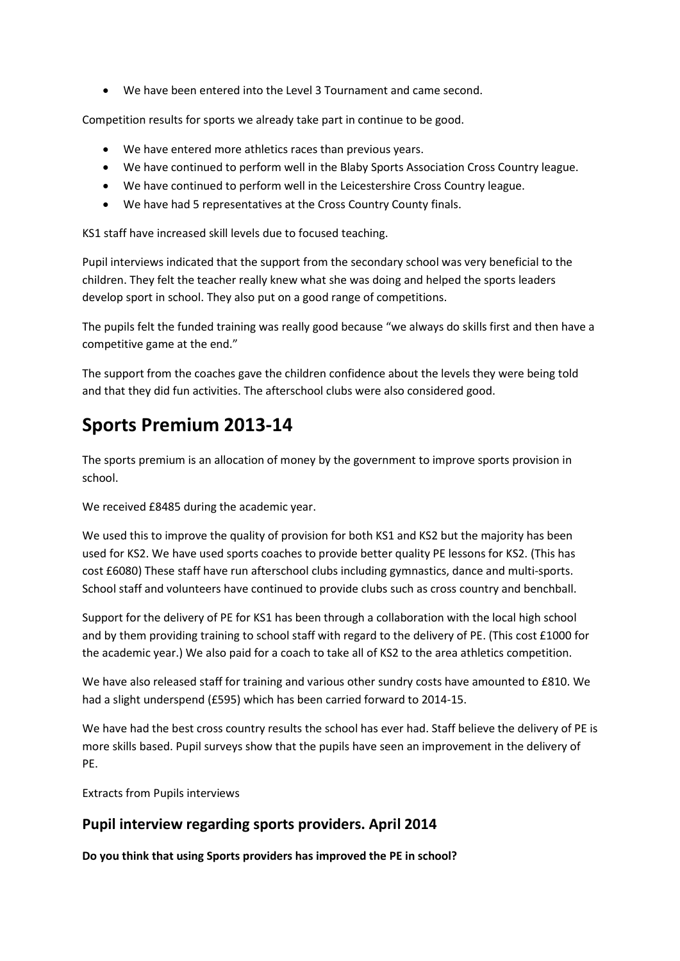We have been entered into the Level 3 Tournament and came second.

Competition results for sports we already take part in continue to be good.

- We have entered more athletics races than previous years.
- We have continued to perform well in the Blaby Sports Association Cross Country league.
- We have continued to perform well in the Leicestershire Cross Country league.
- We have had 5 representatives at the Cross Country County finals.

KS1 staff have increased skill levels due to focused teaching.

Pupil interviews indicated that the support from the secondary school was very beneficial to the children. They felt the teacher really knew what she was doing and helped the sports leaders develop sport in school. They also put on a good range of competitions.

The pupils felt the funded training was really good because "we always do skills first and then have a competitive game at the end."

The support from the coaches gave the children confidence about the levels they were being told and that they did fun activities. The afterschool clubs were also considered good.

# Sports Premium 2013-14

The sports premium is an allocation of money by the government to improve sports provision in school.

We received £8485 during the academic year.

We used this to improve the quality of provision for both KS1 and KS2 but the majority has been used for KS2. We have used sports coaches to provide better quality PE lessons for KS2. (This has cost £6080) These staff have run afterschool clubs including gymnastics, dance and multi-sports. School staff and volunteers have continued to provide clubs such as cross country and benchball.

Support for the delivery of PE for KS1 has been through a collaboration with the local high school and by them providing training to school staff with regard to the delivery of PE. (This cost £1000 for the academic year.) We also paid for a coach to take all of KS2 to the area athletics competition.

We have also released staff for training and various other sundry costs have amounted to £810. We had a slight underspend (£595) which has been carried forward to 2014-15.

We have had the best cross country results the school has ever had. Staff believe the delivery of PE is more skills based. Pupil surveys show that the pupils have seen an improvement in the delivery of PE.

Extracts from Pupils interviews

## Pupil interview regarding sports providers. April 2014

Do you think that using Sports providers has improved the PE in school?